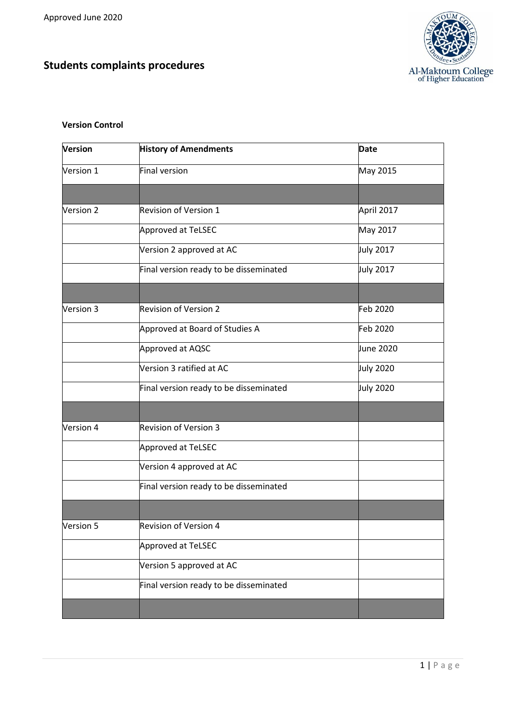**Students complaints procedures**



# **Version Control**

| Version          | <b>History of Amendments</b>           | <b>Date</b>      |
|------------------|----------------------------------------|------------------|
| Version 1        | Final version                          | May 2015         |
|                  |                                        |                  |
| Version 2        | <b>Revision of Version 1</b>           | April 2017       |
|                  | Approved at TeLSEC                     | May 2017         |
|                  | Version 2 approved at AC               | July 2017        |
|                  | Final version ready to be disseminated | July 2017        |
|                  |                                        |                  |
| Version 3        | <b>Revision of Version 2</b>           | Feb 2020         |
|                  | Approved at Board of Studies A         | Feb 2020         |
|                  | Approved at AQSC                       | June 2020        |
|                  | Version 3 ratified at AC               | <b>July 2020</b> |
|                  | Final version ready to be disseminated | <b>July 2020</b> |
|                  |                                        |                  |
| Version 4        | <b>Revision of Version 3</b>           |                  |
|                  | Approved at TeLSEC                     |                  |
|                  | Version 4 approved at AC               |                  |
|                  | Final version ready to be disseminated |                  |
|                  |                                        |                  |
| <b>Version 5</b> | Revision of Version 4                  |                  |
|                  | Approved at TeLSEC                     |                  |
|                  | Version 5 approved at AC               |                  |
|                  | Final version ready to be disseminated |                  |
|                  |                                        |                  |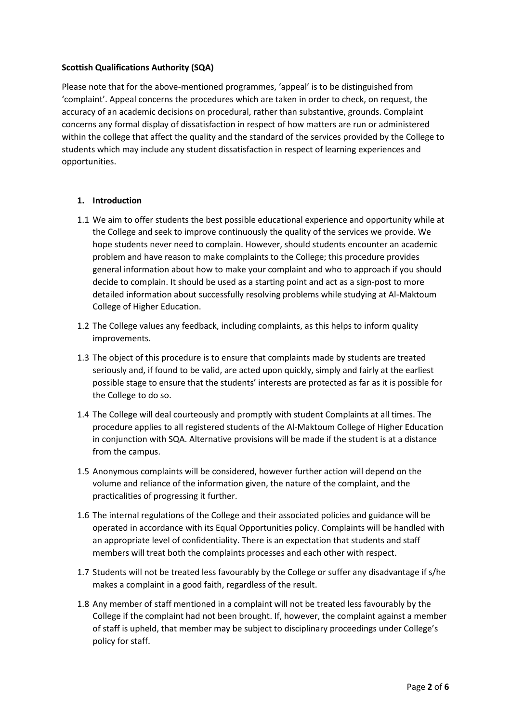### **Scottish Qualifications Authority (SQA)**

Please note that for the above-mentioned programmes, 'appeal' is to be distinguished from 'complaint'. Appeal concerns the procedures which are taken in order to check, on request, the accuracy of an academic decisions on procedural, rather than substantive, grounds. Complaint concerns any formal display of dissatisfaction in respect of how matters are run or administered within the college that affect the quality and the standard of the services provided by the College to students which may include any student dissatisfaction in respect of learning experiences and opportunities.

# **1. Introduction**

- 1.1 We aim to offer students the best possible educational experience and opportunity while at the College and seek to improve continuously the quality of the services we provide. We hope students never need to complain. However, should students encounter an academic problem and have reason to make complaints to the College; this procedure provides general information about how to make your complaint and who to approach if you should decide to complain. It should be used as a starting point and act as a sign-post to more detailed information about successfully resolving problems while studying at Al-Maktoum College of Higher Education.
- 1.2 The College values any feedback, including complaints, as this helps to inform quality improvements.
- 1.3 The object of this procedure is to ensure that complaints made by students are treated seriously and, if found to be valid, are acted upon quickly, simply and fairly at the earliest possible stage to ensure that the students' interests are protected as far as it is possible for the College to do so.
- 1.4 The College will deal courteously and promptly with student Complaints at all times. The procedure applies to all registered students of the Al-Maktoum College of Higher Education in conjunction with SQA. Alternative provisions will be made if the student is at a distance from the campus.
- 1.5 Anonymous complaints will be considered, however further action will depend on the volume and reliance of the information given, the nature of the complaint, and the practicalities of progressing it further.
- 1.6 The internal regulations of the College and their associated policies and guidance will be operated in accordance with its Equal Opportunities policy. Complaints will be handled with an appropriate level of confidentiality. There is an expectation that students and staff members will treat both the complaints processes and each other with respect.
- 1.7 Students will not be treated less favourably by the College or suffer any disadvantage if s/he makes a complaint in a good faith, regardless of the result.
- 1.8 Any member of staff mentioned in a complaint will not be treated less favourably by the College if the complaint had not been brought. If, however, the complaint against a member of staff is upheld, that member may be subject to disciplinary proceedings under College's policy for staff.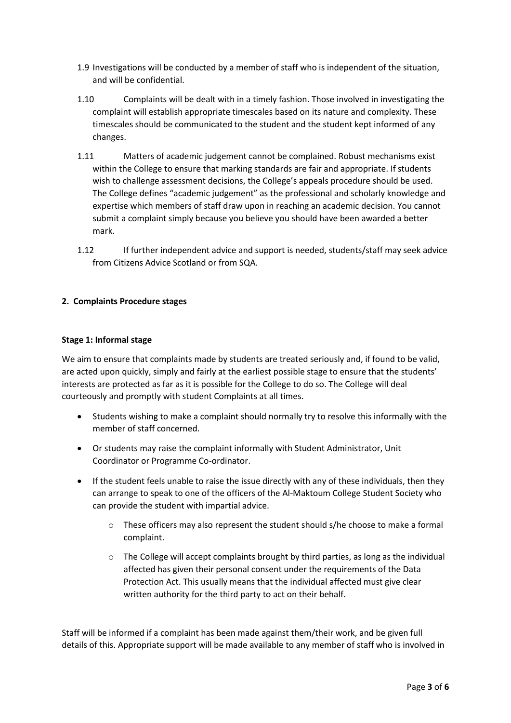- 1.9 Investigations will be conducted by a member of staff who is independent of the situation, and will be confidential.
- 1.10 Complaints will be dealt with in a timely fashion. Those involved in investigating the complaint will establish appropriate timescales based on its nature and complexity. These timescales should be communicated to the student and the student kept informed of any changes.
- 1.11 Matters of academic judgement cannot be complained. Robust mechanisms exist within the College to ensure that marking standards are fair and appropriate. If students wish to challenge assessment decisions, the College's appeals procedure should be used. The College defines "academic judgement" as the professional and scholarly knowledge and expertise which members of staff draw upon in reaching an academic decision. You cannot submit a complaint simply because you believe you should have been awarded a better mark.
- 1.12 If further independent advice and support is needed, students/staff may seek advice from Citizens Advice Scotland or from SQA.

# **2. Complaints Procedure stages**

### **Stage 1: Informal stage**

We aim to ensure that complaints made by students are treated seriously and, if found to be valid, are acted upon quickly, simply and fairly at the earliest possible stage to ensure that the students' interests are protected as far as it is possible for the College to do so. The College will deal courteously and promptly with student Complaints at all times.

- Students wishing to make a complaint should normally try to resolve this informally with the member of staff concerned.
- Or students may raise the complaint informally with Student Administrator, Unit Coordinator or Programme Co-ordinator.
- If the student feels unable to raise the issue directly with any of these individuals, then they can arrange to speak to one of the officers of the Al-Maktoum College Student Society who can provide the student with impartial advice.
	- $\circ$  These officers may also represent the student should s/he choose to make a formal complaint.
	- $\circ$  The College will accept complaints brought by third parties, as long as the individual affected has given their personal consent under the requirements of the Data Protection Act. This usually means that the individual affected must give clear written authority for the third party to act on their behalf.

Staff will be informed if a complaint has been made against them/their work, and be given full details of this. Appropriate support will be made available to any member of staff who is involved in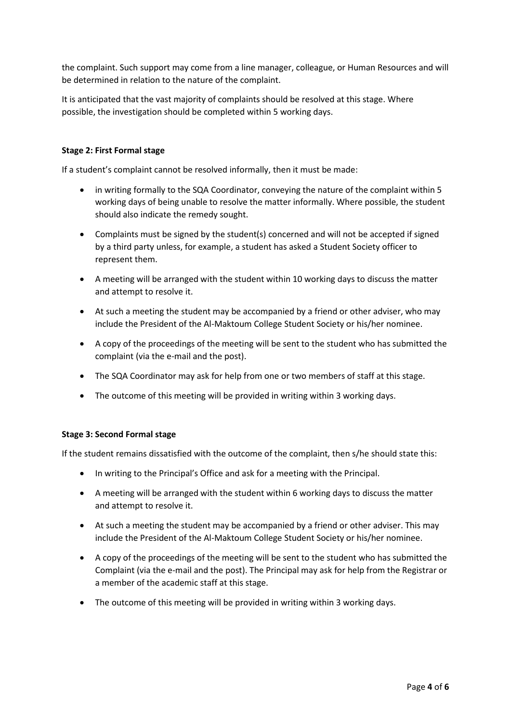the complaint. Such support may come from a line manager, colleague, or Human Resources and will be determined in relation to the nature of the complaint.

It is anticipated that the vast majority of complaints should be resolved at this stage. Where possible, the investigation should be completed within 5 working days.

# **Stage 2: First Formal stage**

If a student's complaint cannot be resolved informally, then it must be made:

- in writing formally to the SQA Coordinator, conveying the nature of the complaint within 5 working days of being unable to resolve the matter informally. Where possible, the student should also indicate the remedy sought.
- Complaints must be signed by the student(s) concerned and will not be accepted if signed by a third party unless, for example, a student has asked a Student Society officer to represent them.
- A meeting will be arranged with the student within 10 working days to discuss the matter and attempt to resolve it.
- At such a meeting the student may be accompanied by a friend or other adviser, who may include the President of the Al-Maktoum College Student Society or his/her nominee.
- A copy of the proceedings of the meeting will be sent to the student who has submitted the complaint (via the e-mail and the post).
- The SQA Coordinator may ask for help from one or two members of staff at this stage.
- The outcome of this meeting will be provided in writing within 3 working days.

### **Stage 3: Second Formal stage**

If the student remains dissatisfied with the outcome of the complaint, then s/he should state this:

- In writing to the Principal's Office and ask for a meeting with the Principal.
- A meeting will be arranged with the student within 6 working days to discuss the matter and attempt to resolve it.
- At such a meeting the student may be accompanied by a friend or other adviser. This may include the President of the Al-Maktoum College Student Society or his/her nominee.
- A copy of the proceedings of the meeting will be sent to the student who has submitted the Complaint (via the e-mail and the post). The Principal may ask for help from the Registrar or a member of the academic staff at this stage.
- The outcome of this meeting will be provided in writing within 3 working days.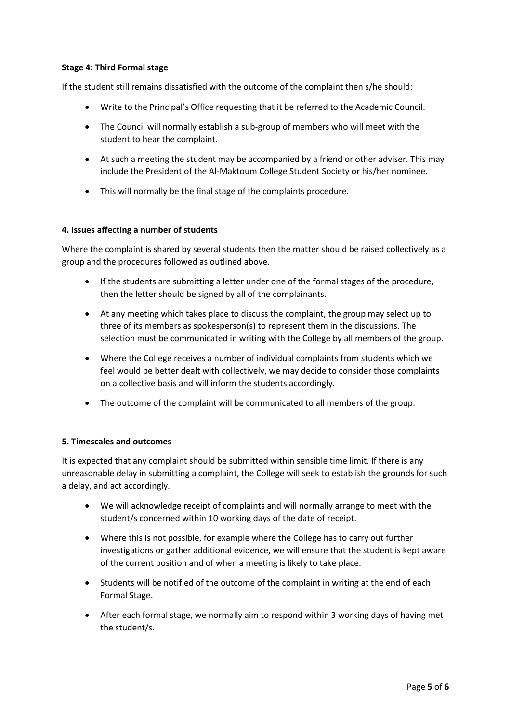# **Stage 4: Third Formal stage**

If the student still remains dissatisfied with the outcome of the complaint then s/he should:

- Write to the Principal's Office requesting that it be referred to the Academic Council.
- The Council will normally establish a sub-group of members who will meet with the student to hear the complaint.
- At such a meeting the student may be accompanied by a friend or other adviser. This may include the President of the Al-Maktoum College Student Society or his/her nominee.
- This will normally be the final stage of the complaints procedure.

### **4. Issues affecting a number of students**

Where the complaint is shared by several students then the matter should be raised collectively as a group and the procedures followed as outlined above.

- If the students are submitting a letter under one of the formal stages of the procedure, then the letter should be signed by all of the complainants.
- At any meeting which takes place to discuss the complaint, the group may select up to three of its members as spokesperson(s) to represent them in the discussions. The selection must be communicated in writing with the College by all members of the group.
- Where the College receives a number of individual complaints from students which we feel would be better dealt with collectively, we may decide to consider those complaints on a collective basis and will inform the students accordingly.
- The outcome of the complaint will be communicated to all members of the group.

### **5. Timescales and outcomes**

It is expected that any complaint should be submitted within sensible time limit. If there is any unreasonable delay in submitting a complaint, the College will seek to establish the grounds for such a delay, and act accordingly.

- We will acknowledge receipt of complaints and will normally arrange to meet with the student/s concerned within 10 working days of the date of receipt.
- Where this is not possible, for example where the College has to carry out further investigations or gather additional evidence, we will ensure that the student is kept aware of the current position and of when a meeting is likely to take place.
- Students will be notified of the outcome of the complaint in writing at the end of each Formal Stage.
- After each formal stage, we normally aim to respond within 3 working days of having met the student/s.